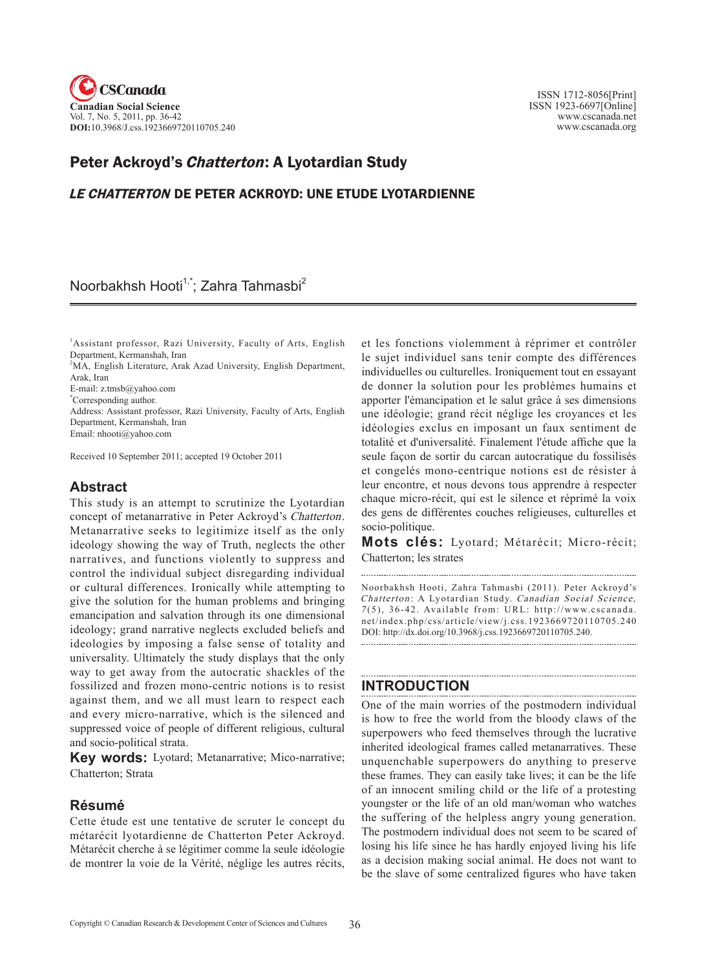

 ISSN 1712-8056[Print] ISSN 1923-6697[Online] www.cscanada.net www.cscanada.org

# Peter Ackroyd's *Chatterton*: A Lyotardian Study

# LE CHATTERTON DE PETER ACKROYD: UNE ETUDE LYOTARDIENNE

# Noorbakhsh Hooti<sup>1,\*</sup>; Zahra Tahmasbi<sup>2</sup>

1 Assistant professor, Razi University, Faculty of Arts, English Department, Kermanshah, Iran

<sup>2</sup>MA, English Literature, Arak Azad University, English Department, Arak, Iran

E-mail: z.tmsb@yahoo.com

\* Corresponding author.

Address: Assistant professor, Razi University, Faculty of Arts, English Department, Kermanshah, Iran

Email: nhooti@yahoo.com

Received 10 September 2011; accepted 19 October 2011

### **Abstract**

This study is an attempt to scrutinize the Lyotardian concept of metanarrative in Peter Ackroyd's Chatterton. Metanarrative seeks to legitimize itself as the only ideology showing the way of Truth, neglects the other narratives, and functions violently to suppress and control the individual subject disregarding individual or cultural differences. Ironically while attempting to give the solution for the human problems and bringing emancipation and salvation through its one dimensional ideology; grand narrative neglects excluded beliefs and ideologies by imposing a false sense of totality and universality. Ultimately the study displays that the only way to get away from the autocratic shackles of the fossilized and frozen mono-centric notions is to resist against them, and we all must learn to respect each and every micro-narrative, which is the silenced and suppressed voice of people of different religious, cultural and socio-political strata.

**Key words:** Lyotard; Metanarrative; Mico-narrative; Chatterton; Strata

### **Résumé**

Cette étude est une tentative de scruter le concept du métarécit lyotardienne de Chatterton Peter Ackroyd. Métarécit cherche à se légitimer comme la seule idéologie de montrer la voie de la Vérité, néglige les autres récits,

et les fonctions violemment à réprimer et contrôler le sujet individuel sans tenir compte des différences individuelles ou culturelles. Ironiquement tout en essayant de donner la solution pour les problèmes humains et apporter l'émancipation et le salut grâce à ses dimensions une idéologie; grand récit néglige les croyances et les idéologies exclus en imposant un faux sentiment de totalité et d'universalité. Finalement l'étude affiche que la seule façon de sortir du carcan autocratique du fossilisés et congelés mono-centrique notions est de résister à leur encontre, et nous devons tous apprendre à respecter chaque micro-récit, qui est le silence et réprimé la voix des gens de différentes couches religieuses, culturelles et socio-politique.

**Mots clés:** Lyotard; Métarécit; Micro-récit; Chatterton; les strates

Noorbakhsh Hooti, Zahra Tahmasbi (2011). Peter Ackroyd's Chatterton: A Lyotardian Study. Canadian Social Science, <sup>7</sup> (5), 36-42. Available from: URL: http://www.cscanada. net/index.php/css/article/view/j.css.1923669720110705.240 DOI: http://dx.doi.org/10.3968/j.css.1923669720110705.240. 

# **INTRODUCTION**

One of the main worries of the postmodern individual is how to free the world from the bloody claws of the superpowers who feed themselves through the lucrative inherited ideological frames called metanarratives. These unquenchable superpowers do anything to preserve these frames. They can easily take lives; it can be the life of an innocent smiling child or the life of a protesting youngster or the life of an old man/woman who watches the suffering of the helpless angry young generation. The postmodern individual does not seem to be scared of losing his life since he has hardly enjoyed living his life as a decision making social animal. He does not want to be the slave of some centralized figures who have taken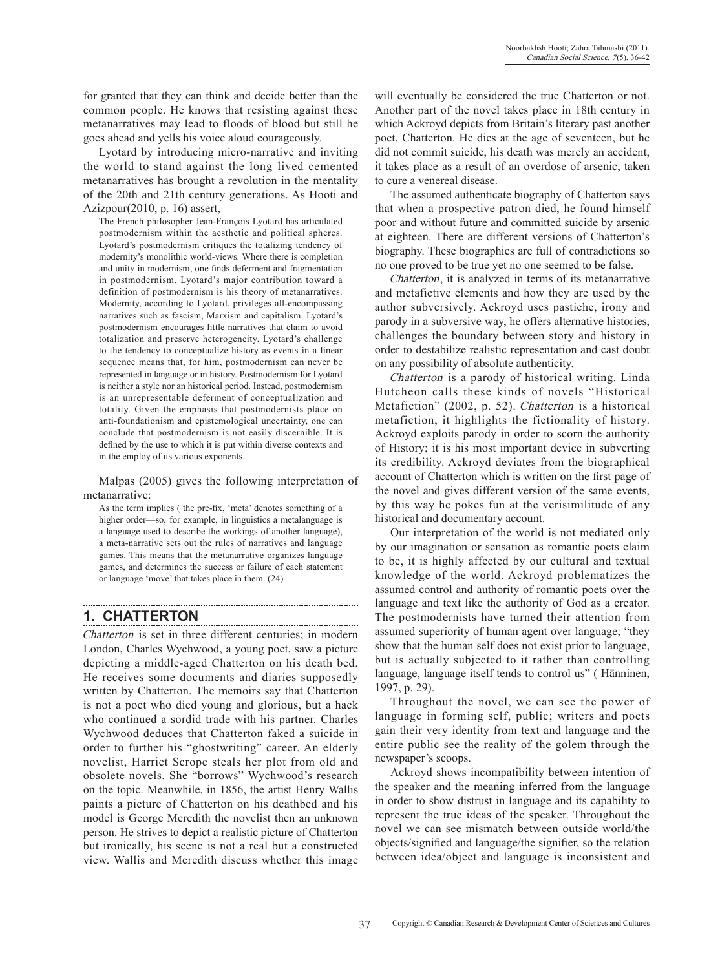for granted that they can think and decide better than the common people. He knows that resisting against these metanarratives may lead to floods of blood but still he goes ahead and yells his voice aloud courageously.

Lyotard by introducing micro-narrative and inviting the world to stand against the long lived cemented metanarratives has brought a revolution in the mentality of the 20th and 21th century generations. As Hooti and Azizpour(2010, p. 16) assert,

The French philosopher Jean-François Lyotard has articulated postmodernism within the aesthetic and political spheres. Lyotard's postmodernism critiques the totalizing tendency of modernity's monolithic world-views. Where there is completion and unity in modernism, one finds deferment and fragmentation in postmodernism. Lyotard's major contribution toward a definition of postmodernism is his theory of metanarratives. Modernity, according to Lyotard, privileges all-encompassing narratives such as fascism, Marxism and capitalism. Lyotard's postmodernism encourages little narratives that claim to avoid totalization and preserve heterogeneity. Lyotard's challenge to the tendency to conceptualize history as events in a linear sequence means that, for him, postmodernism can never be represented in language or in history. Postmodernism for Lyotard is neither a style nor an historical period. Instead, postmodernism is an unrepresentable deferment of conceptualization and totality. Given the emphasis that postmodernists place on anti-foundationism and epistemological uncertainty, one can conclude that postmodernism is not easily discernible. It is defined by the use to which it is put within diverse contexts and in the employ of its various exponents.

Malpas (2005) gives the following interpretation of metanarrative:

As the term implies ( the pre-fix, 'meta' denotes something of a higher order—so, for example, in linguistics a metalanguage is a language used to describe the workings of another language), a meta-narrative sets out the rules of narratives and language games. This means that the metanarrative organizes language games, and determines the success or failure of each statement or language 'move' that takes place in them. (24)

# **1. CHATTERTON**

Chatterton is set in three different centuries; in modern London, Charles Wychwood, a young poet, saw a picture depicting a middle-aged Chatterton on his death bed. He receives some documents and diaries supposedly written by Chatterton. The memoirs say that Chatterton is not a poet who died young and glorious, but a hack who continued a sordid trade with his partner. Charles Wychwood deduces that Chatterton faked a suicide in order to further his "ghostwriting" career. An elderly novelist, Harriet Scrope steals her plot from old and obsolete novels. She "borrows" Wychwood's research on the topic. Meanwhile, in 1856, the artist Henry Wallis paints a picture of Chatterton on his deathbed and his model is George Meredith the novelist then an unknown person. He strives to depict a realistic picture of Chatterton but ironically, his scene is not a real but a constructed view. Wallis and Meredith discuss whether this image

will eventually be considered the true Chatterton or not. Another part of the novel takes place in 18th century in which Ackroyd depicts from Britain's literary past another poet, Chatterton. He dies at the age of seventeen, but he did not commit suicide, his death was merely an accident, it takes place as a result of an overdose of arsenic, taken to cure a venereal disease.

The assumed authenticate biography of Chatterton says that when a prospective patron died, he found himself poor and without future and committed suicide by arsenic at eighteen. There are different versions of Chatterton's biography. These biographies are full of contradictions so no one proved to be true yet no one seemed to be false.

Chatterton, it is analyzed in terms of its metanarrative and metafictive elements and how they are used by the author subversively. Ackroyd uses pastiche, irony and parody in a subversive way, he offers alternative histories, challenges the boundary between story and history in order to destabilize realistic representation and cast doubt on any possibility of absolute authenticity.

Chatterton is a parody of historical writing. Linda Hutcheon calls these kinds of novels "Historical Metafiction" (2002, p. 52). Chatterton is a historical metafiction, it highlights the fictionality of history. Ackroyd exploits parody in order to scorn the authority of History; it is his most important device in subverting its credibility. Ackroyd deviates from the biographical account of Chatterton which is written on the first page of the novel and gives different version of the same events, by this way he pokes fun at the verisimilitude of any historical and documentary account.

Our interpretation of the world is not mediated only by our imagination or sensation as romantic poets claim to be, it is highly affected by our cultural and textual knowledge of the world. Ackroyd problematizes the assumed control and authority of romantic poets over the language and text like the authority of God as a creator. The postmodernists have turned their attention from assumed superiority of human agent over language; "they show that the human self does not exist prior to language, but is actually subjected to it rather than controlling language, language itself tends to control us" ( Hänninen, 1997, p. 29).

Throughout the novel, we can see the power of language in forming self, public; writers and poets gain their very identity from text and language and the entire public see the reality of the golem through the newspaper's scoops.

Ackroyd shows incompatibility between intention of the speaker and the meaning inferred from the language in order to show distrust in language and its capability to represent the true ideas of the speaker. Throughout the novel we can see mismatch between outside world/the objects/signified and language/the signifier, so the relation between idea/object and language is inconsistent and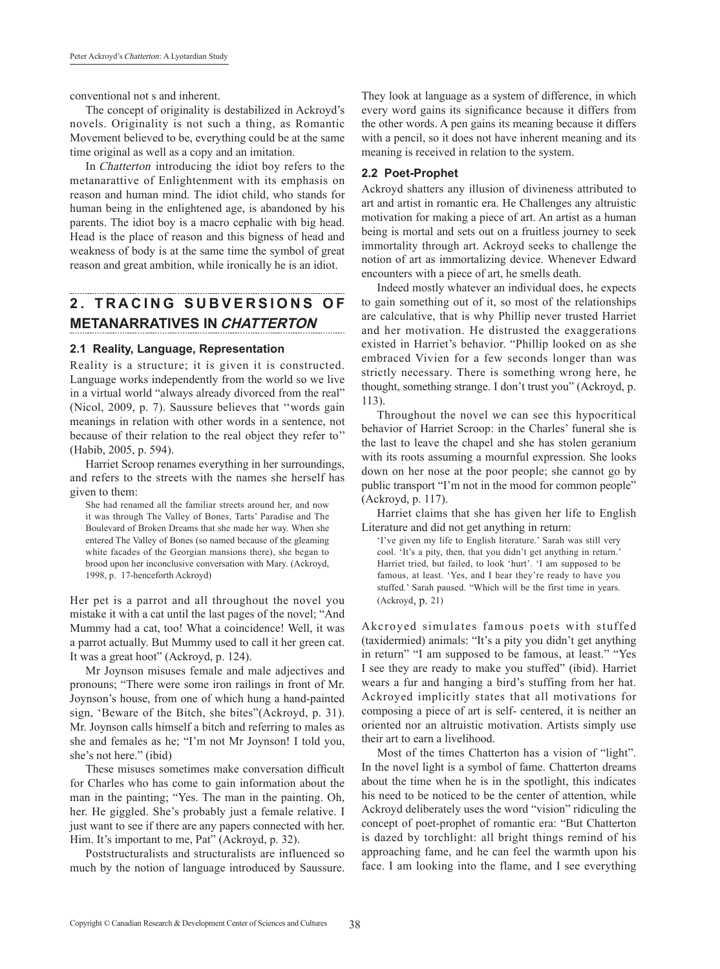conventional not s and inherent.

The concept of originality is destabilized in Ackroyd's novels. Originality is not such a thing, as Romantic Movement believed to be, everything could be at the same time original as well as a copy and an imitation.

In Chatterton introducing the idiot boy refers to the metanarattive of Enlightenment with its emphasis on reason and human mind. The idiot child, who stands for human being in the enlightened age, is abandoned by his parents. The idiot boy is a macro cephalic with big head. Head is the place of reason and this bigness of head and weakness of body is at the same time the symbol of great reason and great ambition, while ironically he is an idiot.

# **2. TRACING S U BV E R S ION S O F METANARRATIVES IN CHATTERTON**

#### **2.1 Reality, Language, Representation**

Reality is a structure; it is given it is constructed. Language works independently from the world so we live in a virtual world "always already divorced from the real" (Nicol, 2009, p. 7). Saussure believes that ''words gain meanings in relation with other words in a sentence, not because of their relation to the real object they refer to'' (Habib, 2005, p. 594).

Harriet Scroop renames everything in her surroundings, and refers to the streets with the names she herself has given to them:

She had renamed all the familiar streets around her, and now it was through The Valley of Bones, Tarts' Paradise and The Boulevard of Broken Dreams that she made her way. When she entered The Valley of Bones (so named because of the gleaming white facades of the Georgian mansions there), she began to brood upon her inconclusive conversation with Mary. (Ackroyd, 1998, p. 17-henceforth Ackroyd)

Her pet is a parrot and all throughout the novel you mistake it with a cat until the last pages of the novel; "And Mummy had a cat, too! What a coincidence! Well, it was a parrot actually. But Mummy used to call it her green cat. It was a great hoot" (Ackroyd, p. 124).

Mr Joynson misuses female and male adjectives and pronouns; "There were some iron railings in front of Mr. Joynson's house, from one of which hung a hand-painted sign, 'Beware of the Bitch, she bites"(Ackroyd, p. 31). Mr. Joynson calls himself a bitch and referring to males as she and females as he; "I'm not Mr Joynson! I told you, she's not here." (ibid)

These misuses sometimes make conversation difficult for Charles who has come to gain information about the man in the painting; "Yes. The man in the painting. Oh, her. He giggled. She's probably just a female relative. I just want to see if there are any papers connected with her. Him. It's important to me, Pat" (Ackroyd, p. 32).

Poststructuralists and structuralists are influenced so much by the notion of language introduced by Saussure. They look at language as a system of difference, in which every word gains its significance because it differs from the other words. A pen gains its meaning because it differs with a pencil, so it does not have inherent meaning and its meaning is received in relation to the system.

#### **2.2 Poet-Prophet**

Ackroyd shatters any illusion of divineness attributed to art and artist in romantic era. He Challenges any altruistic motivation for making a piece of art. An artist as a human being is mortal and sets out on a fruitless journey to seek immortality through art. Ackroyd seeks to challenge the notion of art as immortalizing device. Whenever Edward encounters with a piece of art, he smells death.

Indeed mostly whatever an individual does, he expects to gain something out of it, so most of the relationships are calculative, that is why Phillip never trusted Harriet and her motivation. He distrusted the exaggerations existed in Harriet's behavior. "Phillip looked on as she embraced Vivien for a few seconds longer than was strictly necessary. There is something wrong here, he thought, something strange. I don't trust you" (Ackroyd, p. 113).

Throughout the novel we can see this hypocritical behavior of Harriet Scroop: in the Charles' funeral she is the last to leave the chapel and she has stolen geranium with its roots assuming a mournful expression. She looks down on her nose at the poor people; she cannot go by public transport "I'm not in the mood for common people" (Ackroyd, p. 117).

Harriet claims that she has given her life to English Literature and did not get anything in return:

'I've given my life to English literature.' Sarah was still very cool. 'It's a pity, then, that you didn't get anything in return.' Harriet tried, but failed, to look 'hurt'. 'I am supposed to be famous, at least. 'Yes, and I hear they're ready to have you stuffed.' Sarah paused. "Which will be the first time in years. (Ackroyd, p. 21)

Akcroyed simulates famous poets with stuffed (taxidermied) animals: "It's a pity you didn't get anything in return" "I am supposed to be famous, at least." "Yes I see they are ready to make you stuffed" (ibid). Harriet wears a fur and hanging a bird's stuffing from her hat. Ackroyed implicitly states that all motivations for composing a piece of art is self- centered, it is neither an oriented nor an altruistic motivation. Artists simply use their art to earn a livelihood.

Most of the times Chatterton has a vision of "light". In the novel light is a symbol of fame. Chatterton dreams about the time when he is in the spotlight, this indicates his need to be noticed to be the center of attention, while Ackroyd deliberately uses the word "vision" ridiculing the concept of poet-prophet of romantic era: "But Chatterton is dazed by torchlight: all bright things remind of his approaching fame, and he can feel the warmth upon his face. I am looking into the flame, and I see everything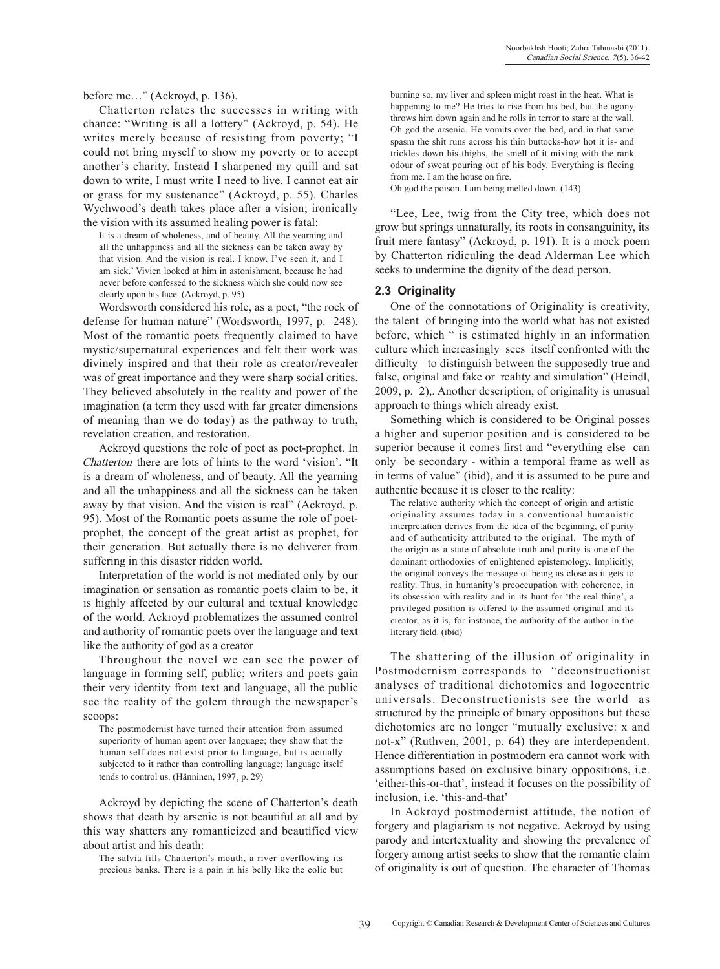before me…" (Ackroyd, p. 136).

Chatterton relates the successes in writing with chance: "Writing is all a lottery" (Ackroyd, p. 54). He writes merely because of resisting from poverty; "I could not bring myself to show my poverty or to accept another's charity. Instead I sharpened my quill and sat down to write, I must write I need to live. I cannot eat air or grass for my sustenance" (Ackroyd, p. 55). Charles Wychwood's death takes place after a vision; ironically the vision with its assumed healing power is fatal:

It is a dream of wholeness, and of beauty. All the yearning and all the unhappiness and all the sickness can be taken away by that vision. And the vision is real. I know. I've seen it, and I am sick.' Vivien looked at him in astonishment, because he had never before confessed to the sickness which she could now see clearly upon his face. (Ackroyd, p. 95)

Wordsworth considered his role, as a poet, "the rock of defense for human nature" (Wordsworth, 1997, p. 248). Most of the romantic poets frequently claimed to have mystic/supernatural experiences and felt their work was divinely inspired and that their role as creator/revealer was of great importance and they were sharp social critics. They believed absolutely in the reality and power of the imagination (a term they used with far greater dimensions of meaning than we do today) as the pathway to truth, revelation creation, and restoration.

Ackroyd questions the role of poet as poet-prophet. In Chatterton there are lots of hints to the word 'vision'. "It is a dream of wholeness, and of beauty. All the yearning and all the unhappiness and all the sickness can be taken away by that vision. And the vision is real" (Ackroyd, p. 95). Most of the Romantic poets assume the role of poetprophet, the concept of the great artist as prophet, for their generation. But actually there is no deliverer from suffering in this disaster ridden world.

Interpretation of the world is not mediated only by our imagination or sensation as romantic poets claim to be, it is highly affected by our cultural and textual knowledge of the world. Ackroyd problematizes the assumed control and authority of romantic poets over the language and text like the authority of god as a creator

Throughout the novel we can see the power of language in forming self, public; writers and poets gain their very identity from text and language, all the public see the reality of the golem through the newspaper's scoops:

The postmodernist have turned their attention from assumed superiority of human agent over language; they show that the human self does not exist prior to language, but is actually subjected to it rather than controlling language; language itself tends to control us. (Hänninen, 1997, p. 29)

Ackroyd by depicting the scene of Chatterton's death shows that death by arsenic is not beautiful at all and by this way shatters any romanticized and beautified view about artist and his death:

The salvia fills Chatterton's mouth, a river overflowing its precious banks. There is a pain in his belly like the colic but

burning so, my liver and spleen might roast in the heat. What is happening to me? He tries to rise from his bed, but the agony throws him down again and he rolls in terror to stare at the wall. Oh god the arsenic. He vomits over the bed, and in that same spasm the shit runs across his thin buttocks-how hot it is- and trickles down his thighs, the smell of it mixing with the rank odour of sweat pouring out of his body. Everything is fleeing from me. I am the house on fire. Oh god the poison. I am being melted down. (143)

"Lee, Lee, twig from the City tree, which does not grow but springs unnaturally, its roots in consanguinity, its

fruit mere fantasy" (Ackroyd, p. 191). It is a mock poem by Chatterton ridiculing the dead Alderman Lee which seeks to undermine the dignity of the dead person.

#### **2.3 Originality**

One of the connotations of Originality is creativity, the talent of bringing into the world what has not existed before, which " is estimated highly in an information culture which increasingly sees itself confronted with the difficulty to distinguish between the supposedly true and false, original and fake or reality and simulation" (Heindl, 2009, p. 2),. Another description, of originality is unusual approach to things which already exist.

Something which is considered to be Original posses a higher and superior position and is considered to be superior because it comes first and "everything else can only be secondary - within a temporal frame as well as in terms of value" (ibid), and it is assumed to be pure and authentic because it is closer to the reality:

The relative authority which the concept of origin and artistic originality assumes today in a conventional humanistic interpretation derives from the idea of the beginning, of purity and of authenticity attributed to the original. The myth of the origin as a state of absolute truth and purity is one of the dominant orthodoxies of enlightened epistemology. Implicitly, the original conveys the message of being as close as it gets to reality. Thus, in humanity's preoccupation with coherence, in its obsession with reality and in its hunt for 'the real thing', a privileged position is offered to the assumed original and its creator, as it is, for instance, the authority of the author in the literary field. (ibid)

The shattering of the illusion of originality in Postmodernism corresponds to "deconstructionist analyses of traditional dichotomies and logocentric universals. Deconstructionists see the world as structured by the principle of binary oppositions but these dichotomies are no longer "mutually exclusive: x and not-x" (Ruthven, 2001, p. 64) they are interdependent. Hence differentiation in postmodern era cannot work with assumptions based on exclusive binary oppositions, i.e. 'either-this-or-that', instead it focuses on the possibility of inclusion, i.e. 'this-and-that'

In Ackroyd postmodernist attitude, the notion of forgery and plagiarism is not negative. Ackroyd by using parody and intertextuality and showing the prevalence of forgery among artist seeks to show that the romantic claim of originality is out of question. The character of Thomas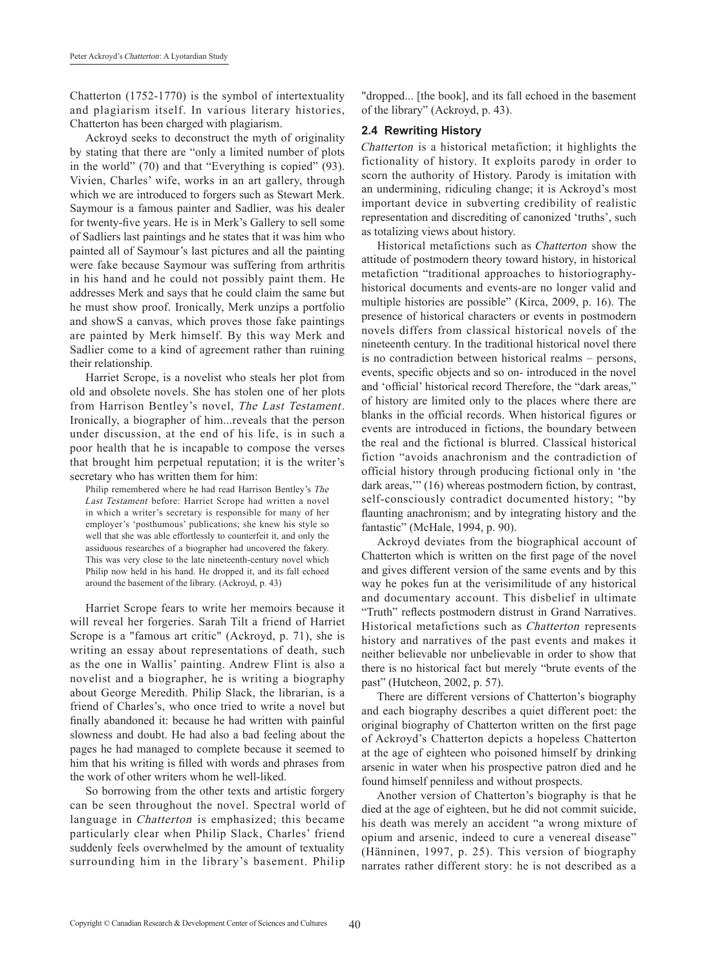Chatterton (1752-1770) is the symbol of intertextuality and plagiarism itself. In various literary histories, Chatterton has been charged with plagiarism.

Ackroyd seeks to deconstruct the myth of originality by stating that there are "only a limited number of plots in the world" (70) and that "Everything is copied" (93). Vivien, Charles' wife, works in an art gallery, through which we are introduced to forgers such as Stewart Merk. Saymour is a famous painter and Sadlier, was his dealer for twenty-five years. He is in Merk's Gallery to sell some of Sadliers last paintings and he states that it was him who painted all of Saymour's last pictures and all the painting were fake because Saymour was suffering from arthritis in his hand and he could not possibly paint them. He addresses Merk and says that he could claim the same but he must show proof. Ironically, Merk unzips a portfolio and showS a canvas, which proves those fake paintings are painted by Merk himself. By this way Merk and Sadlier come to a kind of agreement rather than ruining their relationship.

Harriet Scrope, is a novelist who steals her plot from old and obsolete novels. She has stolen one of her plots from Harrison Bentley's novel, The Last Testament. Ironically, a biographer of him...reveals that the person under discussion, at the end of his life, is in such a poor health that he is incapable to compose the verses that brought him perpetual reputation; it is the writer's secretary who has written them for him:

Philip remembered where he had read Harrison Bentley's The Last Testament before: Harriet Scrope had written a novel in which a writer's secretary is responsible for many of her employer's 'posthumous' publications; she knew his style so well that she was able effortlessly to counterfeit it, and only the assiduous researches of a biographer had uncovered the fakery. This was very close to the late nineteenth-century novel which Philip now held in his hand. He dropped it, and its fall echoed around the basement of the library. (Ackroyd, p. 43)

Harriet Scrope fears to write her memoirs because it will reveal her forgeries. Sarah Tilt a friend of Harriet Scrope is a "famous art critic" (Ackroyd, p. 71), she is writing an essay about representations of death, such as the one in Wallis' painting. Andrew Flint is also a novelist and a biographer, he is writing a biography about George Meredith. Philip Slack, the librarian, is a friend of Charles's, who once tried to write a novel but finally abandoned it: because he had written with painful slowness and doubt. He had also a bad feeling about the pages he had managed to complete because it seemed to him that his writing is filled with words and phrases from the work of other writers whom he well-liked.

So borrowing from the other texts and artistic forgery can be seen throughout the novel. Spectral world of language in *Chatterton* is emphasized; this became particularly clear when Philip Slack, Charles' friend suddenly feels overwhelmed by the amount of textuality surrounding him in the library's basement. Philip

"dropped... [the book], and its fall echoed in the basement of the library" (Ackroyd, p. 43).

#### **2.4 Rewriting History**

Chatterton is a historical metafiction; it highlights the fictionality of history. It exploits parody in order to scorn the authority of History. Parody is imitation with an undermining, ridiculing change; it is Ackroyd's most important device in subverting credibility of realistic representation and discrediting of canonized 'truths', such as totalizing views about history.

Historical metafictions such as Chatterton show the attitude of postmodern theory toward history, in historical metafiction "traditional approaches to historiographyhistorical documents and events-are no longer valid and multiple histories are possible" (Kirca, 2009, p. 16). The presence of historical characters or events in postmodern novels differs from classical historical novels of the nineteenth century. In the traditional historical novel there is no contradiction between historical realms – persons, events, specific objects and so on- introduced in the novel and 'official' historical record Therefore, the "dark areas," of history are limited only to the places where there are blanks in the official records. When historical figures or events are introduced in fictions, the boundary between the real and the fictional is blurred. Classical historical fiction "avoids anachronism and the contradiction of official history through producing fictional only in 'the dark areas,'" (16) whereas postmodern fiction, by contrast, self-consciously contradict documented history; "by flaunting anachronism; and by integrating history and the fantastic" (McHale, 1994, p. 90).

Ackroyd deviates from the biographical account of Chatterton which is written on the first page of the novel and gives different version of the same events and by this way he pokes fun at the verisimilitude of any historical and documentary account. This disbelief in ultimate "Truth" reflects postmodern distrust in Grand Narratives. Historical metafictions such as Chatterton represents history and narratives of the past events and makes it neither believable nor unbelievable in order to show that there is no historical fact but merely "brute events of the past" (Hutcheon, 2002, p. 57).

There are different versions of Chatterton's biography and each biography describes a quiet different poet: the original biography of Chatterton written on the first page of Ackroyd's Chatterton depicts a hopeless Chatterton at the age of eighteen who poisoned himself by drinking arsenic in water when his prospective patron died and he found himself penniless and without prospects.

Another version of Chatterton's biography is that he died at the age of eighteen, but he did not commit suicide, his death was merely an accident "a wrong mixture of opium and arsenic, indeed to cure a venereal disease" (Hänninen, 1997, p. 25). This version of biography narrates rather different story: he is not described as a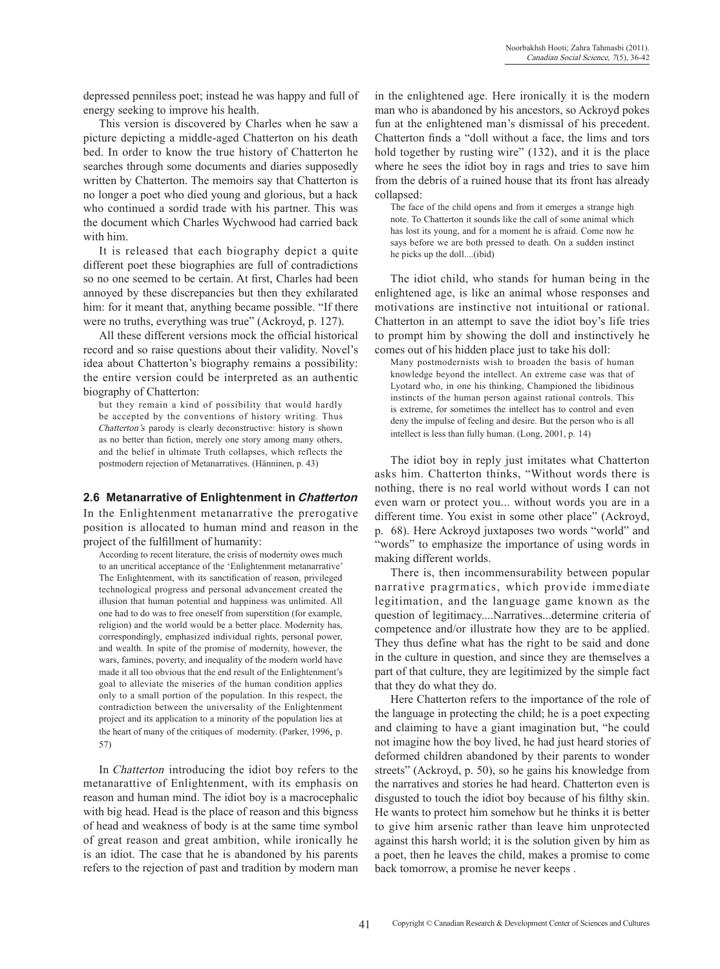depressed penniless poet; instead he was happy and full of energy seeking to improve his health.

This version is discovered by Charles when he saw a picture depicting a middle-aged Chatterton on his death bed. In order to know the true history of Chatterton he searches through some documents and diaries supposedly written by Chatterton. The memoirs say that Chatterton is no longer a poet who died young and glorious, but a hack who continued a sordid trade with his partner. This was the document which Charles Wychwood had carried back with him.

It is released that each biography depict a quite different poet these biographies are full of contradictions so no one seemed to be certain. At first, Charles had been annoyed by these discrepancies but then they exhilarated him: for it meant that, anything became possible. "If there were no truths, everything was true" (Ackroyd, p. 127).

All these different versions mock the official historical record and so raise questions about their validity. Novel's idea about Chatterton's biography remains a possibility: the entire version could be interpreted as an authentic biography of Chatterton:

but they remain a kind of possibility that would hardly be accepted by the conventions of history writing. Thus Chatterton's parody is clearly deconstructive: history is shown as no better than fiction, merely one story among many others, and the belief in ultimate Truth collapses, which reflects the postmodern rejection of Metanarratives. (Hänninen, p. 43)

#### **2.6 Metanarrative of Enlightenment in Chatterton**

In the Enlightenment metanarrative the prerogative position is allocated to human mind and reason in the project of the fulfillment of humanity:

According to recent literature, the crisis of modernity owes much to an uncritical acceptance of the 'Enlightenment metanarrative' The Enlightenment, with its sanctification of reason, privileged technological progress and personal advancement created the illusion that human potential and happiness was unlimited. All one had to do was to free oneself from superstition (for example, religion) and the world would be a better place. Modernity has, correspondingly, emphasized individual rights, personal power, and wealth. In spite of the promise of modernity, however, the wars, famines, poverty, and inequality of the modern world have made it all too obvious that the end result of the Enlightenment's goal to alleviate the miseries of the human condition applies only to a small portion of the population. In this respect, the contradiction between the universality of the Enlightenment project and its application to a minority of the population lies at the heart of many of the critiques of modernity. (Parker, 1996, p. 57)

In Chatterton introducing the idiot boy refers to the metanarattive of Enlightenment, with its emphasis on reason and human mind. The idiot boy is a macrocephalic with big head. Head is the place of reason and this bigness of head and weakness of body is at the same time symbol of great reason and great ambition, while ironically he is an idiot. The case that he is abandoned by his parents refers to the rejection of past and tradition by modern man in the enlightened age. Here ironically it is the modern man who is abandoned by his ancestors, so Ackroyd pokes fun at the enlightened man's dismissal of his precedent. Chatterton finds a "doll without a face, the lims and tors hold together by rusting wire" (132), and it is the place where he sees the idiot boy in rags and tries to save him from the debris of a ruined house that its front has already collapsed:

The face of the child opens and from it emerges a strange high note. To Chatterton it sounds like the call of some animal which has lost its young, and for a moment he is afraid. Come now he says before we are both pressed to death. On a sudden instinct he picks up the doll....(ibid)

The idiot child, who stands for human being in the enlightened age, is like an animal whose responses and motivations are instinctive not intuitional or rational. Chatterton in an attempt to save the idiot boy's life tries to prompt him by showing the doll and instinctively he comes out of his hidden place just to take his doll:

Many postmodernists wish to broaden the basis of human knowledge beyond the intellect. An extreme case was that of Lyotard who, in one his thinking, Championed the libidinous instincts of the human person against rational controls. This is extreme, for sometimes the intellect has to control and even deny the impulse of feeling and desire. But the person who is all intellect is less than fully human. (Long, 2001, p. 14)

The idiot boy in reply just imitates what Chatterton asks him. Chatterton thinks, "Without words there is nothing, there is no real world without words I can not even warn or protect you... without words you are in a different time. You exist in some other place" (Ackroyd, p. 68). Here Ackroyd juxtaposes two words "world" and "words" to emphasize the importance of using words in making different worlds.

There is, then incommensurability between popular narrative pragrmatics, which provide immediate legitimation, and the language game known as the question of legitimacy....Narratives...determine criteria of competence and/or illustrate how they are to be applied. They thus define what has the right to be said and done in the culture in question, and since they are themselves a part of that culture, they are legitimized by the simple fact that they do what they do.

Here Chatterton refers to the importance of the role of the language in protecting the child; he is a poet expecting and claiming to have a giant imagination but, "he could not imagine how the boy lived, he had just heard stories of deformed children abandoned by their parents to wonder streets" (Ackroyd, p. 50), so he gains his knowledge from the narratives and stories he had heard. Chatterton even is disgusted to touch the idiot boy because of his filthy skin. He wants to protect him somehow but he thinks it is better to give him arsenic rather than leave him unprotected against this harsh world; it is the solution given by him as a poet, then he leaves the child, makes a promise to come back tomorrow, a promise he never keeps .